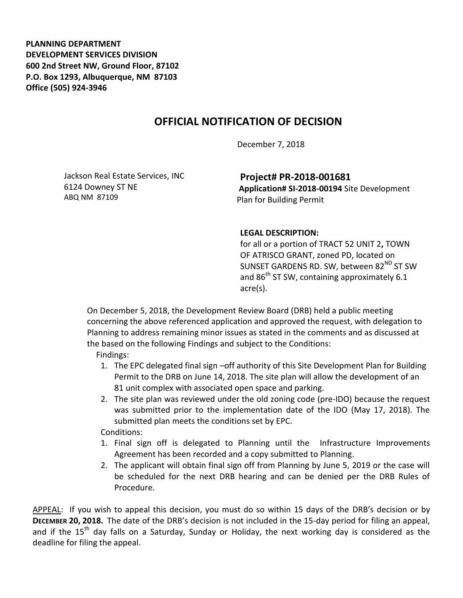**PLANNING DEPARTMENT DEVELOPMENT SERVICES DIVISION 600 2nd Street NW, Ground Floor, 87102 P.O. Box 1293, Albuquerque, NM 87103 Office (505) 924-3946** 

## **OFFICIAL NOTIFICATION OF DECISION**

December 7, 2018

Jackson Real Estate Services, INC 6124 Downey ST NE ABQ NM 87109

**Project# PR-2018-001681**

**Application# SI-2018-00194** Site Development Plan for Building Permit

## **LEGAL DESCRIPTION:**

for all or a portion of TRACT 52 UNIT 2**,** TOWN OF ATRISCO GRANT, zoned PD, located on SUNSET GARDENS RD. SW, between  $82^{ND}$  ST SW and  $86<sup>th</sup>$  ST SW, containing approximately 6.1 acre(s).

On December 5, 2018, the Development Review Board (DRB) held a public meeting concerning the above referenced application and approved the request, with delegation to Planning to address remaining minor issues as stated in the comments and as discussed at the based on the following Findings and subject to the Conditions:

Findings:

- 1. The EPC delegated final sign –off authority of this Site Development Plan for Building Permit to the DRB on June 14, 2018. The site plan will allow the development of an 81 unit complex with associated open space and parking.
- 2. The site plan was reviewed under the old zoning code (pre-IDO) because the request was submitted prior to the implementation date of the IDO (May 17, 2018). The submitted plan meets the conditions set by EPC.

Conditions:

- 1. Final sign off is delegated to Planning until the Infrastructure Improvements Agreement has been recorded and a copy submitted to Planning.
- 2. The applicant will obtain final sign off from Planning by June 5, 2019 or the case will be scheduled for the next DRB hearing and can be denied per the DRB Rules of Procedure.

APPEAL: If you wish to appeal this decision, you must do so within 15 days of the DRB's decision or by **DECEMBER 20, 2018.** The date of the DRB's decision is not included in the 15-day period for filing an appeal, and if the  $15<sup>th</sup>$  day falls on a Saturday, Sunday or Holiday, the next working day is considered as the deadline for filing the appeal.